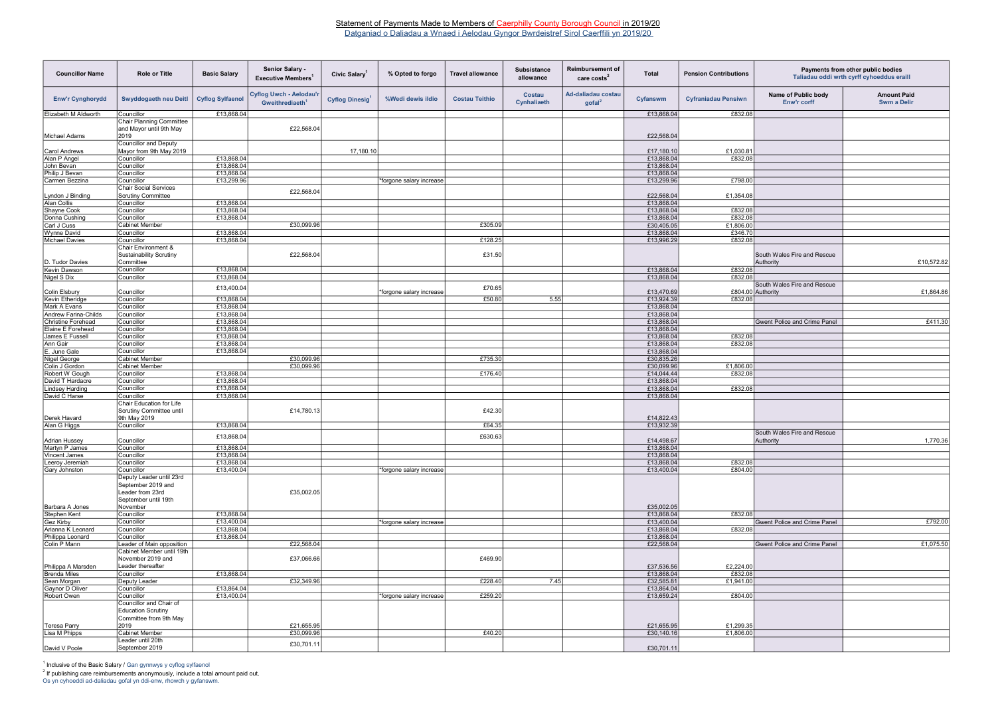| <b>Councillor Name</b>                    | <b>Role or Title</b>                                                                       | <b>Basic Salary</b>      | <b>Senior Salary -</b><br>Executive Members <sup>1</sup>      | Civic Salary <sup>1</sup> | % Opted to forgo         | <b>Travel allowance</b> | <b>Subsistance</b><br>allowance | <b>Reimbursement of</b><br>care $costs2$    | <b>Total</b>             | <b>Pension Contributions</b> | Payments from other public bodies<br>Taliadau oddi wrth cyrff cyhoeddus eraill |                                          |
|-------------------------------------------|--------------------------------------------------------------------------------------------|--------------------------|---------------------------------------------------------------|---------------------------|--------------------------|-------------------------|---------------------------------|---------------------------------------------|--------------------------|------------------------------|--------------------------------------------------------------------------------|------------------------------------------|
| <b>Enw'r Cynghorydd</b>                   | <b>Swyddogaeth neu Deitl</b>                                                               | <b>Cyflog Sylfaenol</b>  | <b>Cyflog Uwch - Aelodau'r</b><br>Gweithrediaeth <sup>1</sup> | Cyflog Dinesig            | %Wedi dewis ildio        | <b>Costau Teithio</b>   | Costau<br>Cynhaliaeth           | Ad-daliadau costau<br>$g$ ofal <sup>2</sup> | Cyfanswm                 | <b>Cyfraniadau Pensiwn</b>   | Name of Public body<br>Enw'r corff                                             | <b>Amount Paid</b><br><b>Swm a Delir</b> |
| Elizabeth M Aldworth                      | Councillor                                                                                 | £13,868.04               |                                                               |                           |                          |                         |                                 |                                             | £13,868.04               | £832.08                      |                                                                                |                                          |
|                                           | <b>Chair Planning Committee</b>                                                            |                          |                                                               |                           |                          |                         |                                 |                                             |                          |                              |                                                                                |                                          |
|                                           | and Mayor until 9th May                                                                    |                          | £22,568.04                                                    |                           |                          |                         |                                 |                                             |                          |                              |                                                                                |                                          |
| Michael Adams                             | 2019                                                                                       |                          |                                                               |                           |                          |                         |                                 |                                             | £22,568.04               |                              |                                                                                |                                          |
|                                           | <b>Councillor and Deputy</b>                                                               |                          |                                                               |                           |                          |                         |                                 |                                             |                          |                              |                                                                                |                                          |
| Carol Andrews                             | Mayor from 9th May 2019                                                                    |                          |                                                               | 17,180.10                 |                          |                         |                                 |                                             | £17,180.10<br>£13,868.04 | £1,030.8                     |                                                                                |                                          |
| Alan P Angel                              | Councillor                                                                                 | £13,868.04<br>£13,868.04 |                                                               |                           |                          |                         |                                 |                                             |                          | £832.08                      |                                                                                |                                          |
| John Bevan                                | Councillor<br>Councillor                                                                   | £13,868.04               |                                                               |                           |                          |                         |                                 |                                             | £13,868.04               |                              |                                                                                |                                          |
| Philip J Bevan<br>Carmen Bezzina          | Councillor                                                                                 | £13,299.96               |                                                               |                           | *forgone salary increase |                         |                                 |                                             | £13,868.04<br>£13,299.96 | £798.00                      |                                                                                |                                          |
|                                           | <b>Chair Social Services</b>                                                               |                          |                                                               |                           |                          |                         |                                 |                                             |                          |                              |                                                                                |                                          |
| Lyndon J Binding                          | <b>Scrutiny Committee</b>                                                                  |                          | £22,568.04                                                    |                           |                          |                         |                                 |                                             | £22,568.04               | £1,354.08                    |                                                                                |                                          |
| Alan Collis                               | Councillor                                                                                 | £13,868.04               |                                                               |                           |                          |                         |                                 |                                             | £13,868.04               |                              |                                                                                |                                          |
| Shayne Cook                               | Councillor                                                                                 | £13,868.04               |                                                               |                           |                          |                         |                                 |                                             | £13,868.04               | £832.08                      |                                                                                |                                          |
| Donna Cushing                             | Councillor                                                                                 | £13,868.04               |                                                               |                           |                          |                         |                                 |                                             | £13,868.04               | £832.08                      |                                                                                |                                          |
| Carl J Cuss                               | <b>Cabinet Member</b>                                                                      |                          | £30.099.96                                                    |                           |                          | £305.09                 |                                 |                                             | £30,405.05               | £1,806.00                    |                                                                                |                                          |
| Wynne David                               | Councillor                                                                                 | £13,868.04               |                                                               |                           |                          |                         |                                 |                                             | £13,868.04               | £346.70                      |                                                                                |                                          |
| Michael Davies                            | Councillor                                                                                 | £13,868.04               |                                                               |                           |                          | £128.25                 |                                 |                                             | £13,996.29               | £832.08                      |                                                                                |                                          |
|                                           | <b>Chair Environment &amp;</b><br><b>Sustainability Scrutiny</b>                           |                          | £22,568.04                                                    |                           |                          | £31.50                  |                                 |                                             |                          |                              | South Wales Fire and Rescue                                                    |                                          |
| D. Tudor Davies                           | Committee                                                                                  |                          |                                                               |                           |                          |                         |                                 |                                             |                          |                              | Authority                                                                      | £10,572.82                               |
| Kevin Dawson                              | Councillor                                                                                 | £13,868.04               |                                                               |                           |                          |                         |                                 |                                             | £13,868.04               | £832.08                      |                                                                                |                                          |
| Nigel S Dix                               | Councillor                                                                                 | £13,868.04               |                                                               |                           |                          |                         |                                 |                                             | £13,868.04               | £832.08                      | South Wales Fire and Rescue                                                    |                                          |
| Colin Elsbury                             | Councillor                                                                                 | £13,400.04               |                                                               |                           | *forgone salary increase | £70.65                  |                                 |                                             | £13,470.69               |                              | £804.00 Authority                                                              | £1,864.86                                |
| Kevin Etheridge                           | Councillor                                                                                 | £13,868.04               |                                                               |                           |                          | £50.80                  | 5.55                            |                                             | £13,924.39               | £832.08                      |                                                                                |                                          |
| Mark A Evans                              | Councillor                                                                                 | £13,868.04               |                                                               |                           |                          |                         |                                 |                                             | £13,868.04               |                              |                                                                                |                                          |
| Andrew Farina-Childs                      | Councillor                                                                                 | £13,868.04               |                                                               |                           |                          |                         |                                 |                                             | £13,868.04               |                              |                                                                                |                                          |
| Christine Forehead                        | Councillor                                                                                 | £13,868.04               |                                                               |                           |                          |                         |                                 |                                             | £13,868.04               |                              | <b>Gwent Police and Crime Panel</b>                                            | £411.30                                  |
| Elaine E Forehead                         | Councillor                                                                                 | £13,868.04               |                                                               |                           |                          |                         |                                 |                                             | £13,868.04               |                              |                                                                                |                                          |
| James E Fussell                           | Councillor                                                                                 | £13,868.04               |                                                               |                           |                          |                         |                                 |                                             | £13,868.04               | £832.08                      |                                                                                |                                          |
| Ann Gair                                  | Councillor                                                                                 | £13,868.04               |                                                               |                           |                          |                         |                                 |                                             | £13,868.04               | £832.08                      |                                                                                |                                          |
| E. June Gale                              | Councillor                                                                                 | £13,868.04               |                                                               |                           |                          |                         |                                 |                                             | £13,868.04               |                              |                                                                                |                                          |
| Nigel George                              | Cabinet Member                                                                             |                          | £30,099.96                                                    |                           |                          | £735.30                 |                                 |                                             | £30,835.26               |                              |                                                                                |                                          |
| Colin J Gordon                            | Cabinet Member                                                                             |                          | £30,099.96                                                    |                           |                          |                         |                                 |                                             | £30,099.96               | £1,806.00                    |                                                                                |                                          |
| Robert W Gough                            | Councillor                                                                                 | £13,868.04               |                                                               |                           |                          | £176.40                 |                                 |                                             | £14,044.44               | £832.08                      |                                                                                |                                          |
| David T Hardacre                          | Councillor                                                                                 | £13,868.04               |                                                               |                           |                          |                         |                                 |                                             | £13,868.04               |                              |                                                                                |                                          |
| <b>Lindsey Harding</b>                    | Councillor                                                                                 | £13,868.04               |                                                               |                           |                          |                         |                                 |                                             | £13,868.04               | £832.08                      |                                                                                |                                          |
| David C Harse                             | Councillor                                                                                 | £13,868.04               |                                                               |                           |                          |                         |                                 |                                             | £13,868.04               |                              |                                                                                |                                          |
|                                           | Chair Education for Life<br><b>Scrutiny Committee until</b>                                |                          | £14,780.13                                                    |                           |                          | £42.30                  |                                 |                                             |                          |                              |                                                                                |                                          |
| Derek Havard                              | 9th May 2019                                                                               |                          |                                                               |                           |                          |                         |                                 |                                             | £14,822.43               |                              |                                                                                |                                          |
| Alan G Higgs                              | Councillor                                                                                 | £13,868.04               |                                                               |                           |                          | £64.35                  |                                 |                                             | £13,932.39               |                              |                                                                                |                                          |
|                                           | Councillor                                                                                 | £13,868.04               |                                                               |                           |                          | £630.63                 |                                 |                                             | £14,498.67               |                              | South Wales Fire and Rescue<br>Authority                                       | 1,770.36                                 |
| Adrian Hussey<br>Martyn P James           | Councillor                                                                                 | £13,868.04               |                                                               |                           |                          |                         |                                 |                                             | £13,868.04               |                              |                                                                                |                                          |
| Vincent James                             | Councillor                                                                                 | £13,868.04               |                                                               |                           |                          |                         |                                 |                                             | £13,868.04               |                              |                                                                                |                                          |
| Leeroy Jeremiah                           | Councillor                                                                                 | £13,868.04               |                                                               |                           |                          |                         |                                 |                                             | £13,868.04               | £832.08                      |                                                                                |                                          |
| Gary Johnston                             | Councillor                                                                                 | £13,400.04               |                                                               |                           | *forgone salary increase |                         |                                 |                                             | £13,400.04               | £804.00                      |                                                                                |                                          |
|                                           | Deputy Leader until 23rd<br>September 2019 and<br>Leader from 23rd<br>September until 19th |                          | £35,002.05                                                    |                           |                          |                         |                                 |                                             |                          |                              |                                                                                |                                          |
| Barbara A Jones                           | November                                                                                   |                          |                                                               |                           |                          |                         |                                 |                                             | £35,002.05               |                              |                                                                                |                                          |
| Stephen Kent                              | Councillor                                                                                 | £13,868.04               |                                                               |                           |                          |                         |                                 |                                             | £13,868.04               | £832.08                      |                                                                                |                                          |
| Gez Kirby                                 | Councillor                                                                                 | £13,400.04               |                                                               |                           | *forgone salary increase |                         |                                 |                                             | £13,400.04               |                              | <b>Gwent Police and Crime Panel</b>                                            | £792.00                                  |
| Arianna K Leonard                         | Councillor                                                                                 | £13,868.04               |                                                               |                           |                          |                         |                                 |                                             | £13,868.04               | £832.08                      |                                                                                |                                          |
| Philippa Leonard<br>Colin P Mann          | Councillor                                                                                 | £13,868.04               |                                                               |                           |                          |                         |                                 |                                             | £13,868.04               |                              |                                                                                |                                          |
|                                           | Leader of Main opposition<br>Cabinet Member until 19th                                     |                          | £22,568.04                                                    |                           |                          |                         |                                 |                                             | £22,568.04               |                              | <b>Gwent Police and Crime Panel</b>                                            | £1,075.50                                |
|                                           | November 2019 and                                                                          |                          | £37,066.66                                                    |                           |                          | £469.90                 |                                 |                                             |                          |                              |                                                                                |                                          |
| Philippa A Marsden<br><b>Brenda Miles</b> | Leader thereafter                                                                          |                          |                                                               |                           |                          |                         |                                 |                                             | £37,536.56               | £2,224.00                    |                                                                                |                                          |
|                                           | Councillor                                                                                 | £13,868.04               | £32,349.96                                                    |                           |                          |                         | 7.45                            |                                             | £13,868.04               | £832.08                      |                                                                                |                                          |
| Sean Morgan<br>Gaynor D Oliver            | Deputy Leader                                                                              |                          |                                                               |                           |                          | £228.40                 |                                 |                                             | £32,585.81               | £1,941.00                    |                                                                                |                                          |
| Robert Owen                               | Councillor<br>Councillor                                                                   | £13,864.04<br>£13,400.04 |                                                               |                           |                          | £259.20                 |                                 |                                             | £13,864.04<br>£13,659.24 | £804.00                      |                                                                                |                                          |
|                                           | Councillor and Chair of                                                                    |                          |                                                               |                           | *forgone salary increase |                         |                                 |                                             |                          |                              |                                                                                |                                          |
|                                           | <b>Education Scrutiny</b><br>Committee from 9th May                                        |                          |                                                               |                           |                          |                         |                                 |                                             |                          |                              |                                                                                |                                          |
| Teresa Parry                              | 2019                                                                                       |                          | £21,655.95                                                    |                           |                          |                         |                                 |                                             | £21,655.95               | £1,299.35                    |                                                                                |                                          |
| Lisa M Phipps                             | <b>Cabinet Member</b>                                                                      |                          | £30,099.96                                                    |                           |                          | £40.20                  |                                 |                                             | £30,140.16               | £1,806.00                    |                                                                                |                                          |
|                                           | Leader until 20th                                                                          |                          | £30,701.11                                                    |                           |                          |                         |                                 |                                             |                          |                              |                                                                                |                                          |
| David V Poole                             | September 2019                                                                             |                          |                                                               |                           |                          |                         |                                 |                                             | £30,701.11               |                              |                                                                                |                                          |

<sup>1</sup> Inclusive of the Basic Salary / Gan gynnwys y cyflog sylfaenol

 $2$  If publishing care reimbursements anonymously, include a total amount paid out.

| Payments from other public bodies<br>Taliadau oddi wrth cyrff cyhoeddus eraill |                                          |  |  |  |  |  |  |  |
|--------------------------------------------------------------------------------|------------------------------------------|--|--|--|--|--|--|--|
| Name of Public body<br>Enw'r corff                                             | <b>Amount Paid</b><br><b>Swm a Delir</b> |  |  |  |  |  |  |  |
|                                                                                |                                          |  |  |  |  |  |  |  |
|                                                                                |                                          |  |  |  |  |  |  |  |
|                                                                                |                                          |  |  |  |  |  |  |  |
|                                                                                |                                          |  |  |  |  |  |  |  |
|                                                                                |                                          |  |  |  |  |  |  |  |
|                                                                                |                                          |  |  |  |  |  |  |  |
|                                                                                |                                          |  |  |  |  |  |  |  |
|                                                                                |                                          |  |  |  |  |  |  |  |
|                                                                                |                                          |  |  |  |  |  |  |  |
| South Wales Fire and Rescue<br>Authority                                       | £10,572.82                               |  |  |  |  |  |  |  |
|                                                                                |                                          |  |  |  |  |  |  |  |
| South Wales Fire and Rescue<br>Authority                                       | £1,864.86                                |  |  |  |  |  |  |  |
|                                                                                |                                          |  |  |  |  |  |  |  |
| Gwent Police and Crime Panel                                                   | £411.30                                  |  |  |  |  |  |  |  |
|                                                                                |                                          |  |  |  |  |  |  |  |
|                                                                                |                                          |  |  |  |  |  |  |  |
|                                                                                |                                          |  |  |  |  |  |  |  |
|                                                                                |                                          |  |  |  |  |  |  |  |
|                                                                                |                                          |  |  |  |  |  |  |  |
|                                                                                |                                          |  |  |  |  |  |  |  |
|                                                                                |                                          |  |  |  |  |  |  |  |
| South Wales Fire and Rescue                                                    |                                          |  |  |  |  |  |  |  |
| Authority                                                                      | 1,770.36                                 |  |  |  |  |  |  |  |
|                                                                                |                                          |  |  |  |  |  |  |  |
|                                                                                |                                          |  |  |  |  |  |  |  |
|                                                                                |                                          |  |  |  |  |  |  |  |
|                                                                                |                                          |  |  |  |  |  |  |  |
| <b>Gwent Police and Crime Panel</b>                                            | £792.00                                  |  |  |  |  |  |  |  |
|                                                                                |                                          |  |  |  |  |  |  |  |
| <b>Gwent Police and Crime Panel</b>                                            | £1,075.50                                |  |  |  |  |  |  |  |
|                                                                                |                                          |  |  |  |  |  |  |  |
|                                                                                |                                          |  |  |  |  |  |  |  |
|                                                                                |                                          |  |  |  |  |  |  |  |
|                                                                                |                                          |  |  |  |  |  |  |  |
|                                                                                |                                          |  |  |  |  |  |  |  |
|                                                                                |                                          |  |  |  |  |  |  |  |

Os yn cyhoeddi ad-daliadau gofal yn ddi-enw, rhowch y gyfanswm.